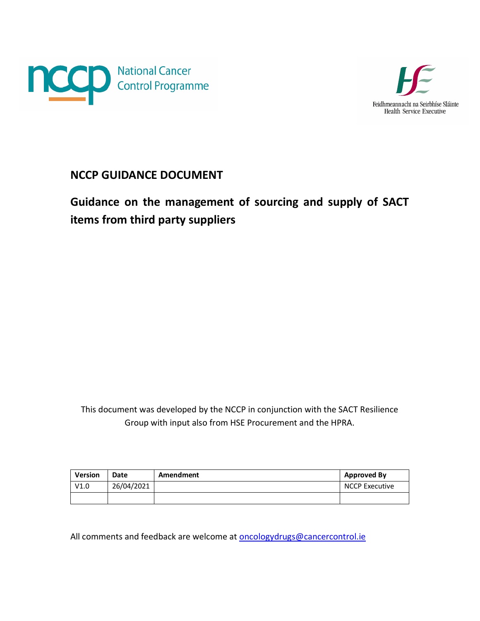



## <span id="page-0-0"></span>**NCCP GUIDANCE DOCUMENT**

## <span id="page-0-1"></span>**Guidance on the management of sourcing and supply of SACT items from third party suppliers**

This document was developed by the NCCP in conjunction with the SACT Resilience Group with input also from HSE Procurement and the HPRA.

| <b>Version</b> | Date       | Amendment | <b>Approved By</b>    |
|----------------|------------|-----------|-----------------------|
| V1.0           | 26/04/2021 |           | <b>NCCP Executive</b> |
|                |            |           |                       |

All comments and feedback are welcome at [oncologydrugs@cancercontrol.ie](mailto:oncologydrugs@cancercontrol.ie)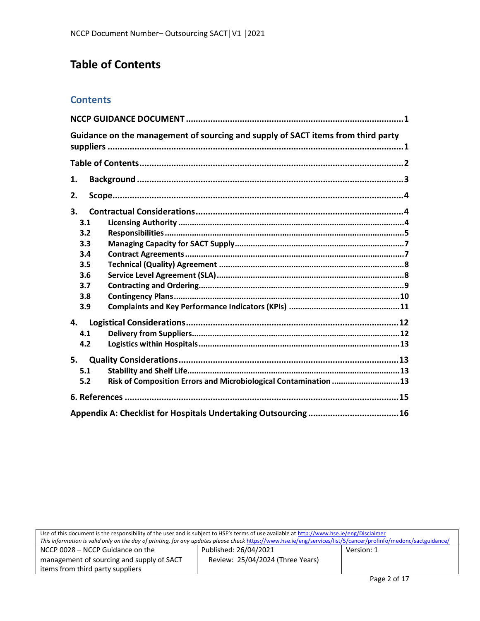# <span id="page-1-0"></span>**Table of Contents**

## **Contents**

| Guidance on the management of sourcing and supply of SACT items from third party |  |
|----------------------------------------------------------------------------------|--|
|                                                                                  |  |
| 1.                                                                               |  |
| 2.                                                                               |  |
| 3.                                                                               |  |
| 3.1                                                                              |  |
| 3.2                                                                              |  |
| 3.3                                                                              |  |
| 3.4                                                                              |  |
| 3.5                                                                              |  |
| 3.6                                                                              |  |
| 3.7                                                                              |  |
| 3.8                                                                              |  |
| 3.9                                                                              |  |
| 4.                                                                               |  |
| 4.1                                                                              |  |
| 4.2                                                                              |  |
| 5.                                                                               |  |
| 5.1                                                                              |  |
| Risk of Composition Errors and Microbiological Contamination  13<br>5.2          |  |
|                                                                                  |  |
|                                                                                  |  |

| Use of this document is the responsibility of the user and is subject to HSE's terms of use available at http://www.hse.ie/eng/Disclaimer                       |                                  |            |  |
|-----------------------------------------------------------------------------------------------------------------------------------------------------------------|----------------------------------|------------|--|
| This information is valid only on the day of printing, for any updates please check https://www.hse.ie/eng/services/list/5/cancer/profinfo/medonc/sactguidance/ |                                  |            |  |
| NCCP 0028 – NCCP Guidance on the                                                                                                                                | Published: 26/04/2021            | Version: 1 |  |
| management of sourcing and supply of SACT                                                                                                                       | Review: 25/04/2024 (Three Years) |            |  |
| items from third party suppliers                                                                                                                                |                                  |            |  |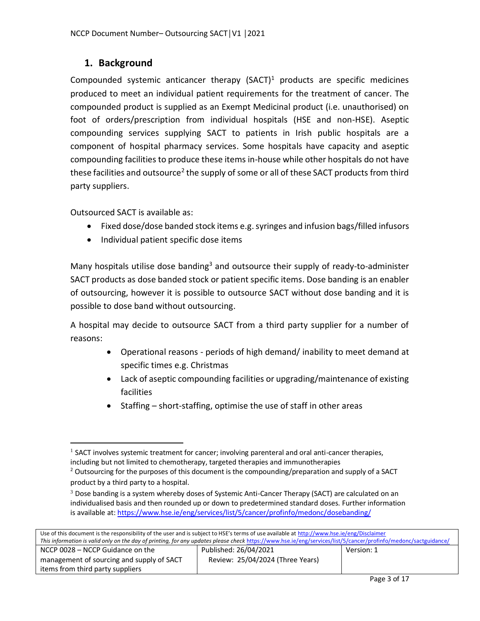## <span id="page-2-0"></span>**1. Background**

Compounded systemic anticancer therapy  $(SACT)^1$  products are specific medicines produced to meet an individual patient requirements for the treatment of cancer. The compounded product is supplied as an Exempt Medicinal product (i.e. unauthorised) on foot of orders/prescription from individual hospitals (HSE and non-HSE). Aseptic compounding services supplying SACT to patients in Irish public hospitals are a component of hospital pharmacy services. Some hospitals have capacity and aseptic compounding facilities to produce these items in-house while other hospitals do not have these facilities and outsource<sup>2</sup> the supply of some or all of these SACT products from third party suppliers.

Outsourced SACT is available as:

 $\overline{a}$ 

- Fixed dose/dose banded stock items e.g. syringes and infusion bags/filled infusors
- Individual patient specific dose items

Many hospitals utilise dose banding<sup>3</sup> and outsource their supply of ready-to-administer SACT products as dose banded stock or patient specific items. Dose banding is an enabler of outsourcing, however it is possible to outsource SACT without dose banding and it is possible to dose band without outsourcing.

A hospital may decide to outsource SACT from a third party supplier for a number of reasons:

- Operational reasons periods of high demand/ inability to meet demand at specific times e.g. Christmas
- Lack of aseptic compounding facilities or upgrading/maintenance of existing facilities
- $\bullet$  Staffing short-staffing, optimise the use of staff in other areas

 $3$  Dose banding is a system whereby doses of Systemic Anti-Cancer Therapy (SACT) are calculated on an individualised basis and then rounded up or down to predetermined standard doses. Further information is available at[: https://www.hse.ie/eng/services/list/5/cancer/profinfo/medonc/dosebanding/](https://www.hse.ie/eng/services/list/5/cancer/profinfo/medonc/dosebanding/)

| Use of this document is the responsibility of the user and is subject to HSE's terms of use available at http://www.hse.ie/eng/Disclaimer                       |                                  |            |  |  |
|-----------------------------------------------------------------------------------------------------------------------------------------------------------------|----------------------------------|------------|--|--|
| This information is valid only on the day of printing, for any updates please check https://www.hse.ie/eng/services/list/5/cancer/profinfo/medonc/sactguidance/ |                                  |            |  |  |
| NCCP 0028 – NCCP Guidance on the                                                                                                                                | Published: 26/04/2021            | Version: 1 |  |  |
| management of sourcing and supply of SACT                                                                                                                       | Review: 25/04/2024 (Three Years) |            |  |  |
| items from third party suppliers                                                                                                                                |                                  |            |  |  |

 $<sup>1</sup>$  SACT involves systemic treatment for cancer; involving parenteral and oral anti-cancer therapies,</sup> including but not limited to chemotherapy, targeted therapies and immunotherapies

<sup>&</sup>lt;sup>2</sup> Outsourcing for the purposes of this document is the compounding/preparation and supply of a SACT product by a third party to a hospital.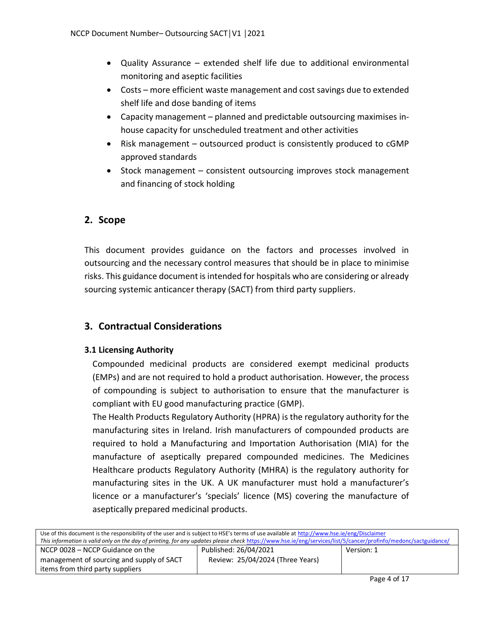- Quality Assurance extended shelf life due to additional environmental monitoring and aseptic facilities
- Costs more efficient waste management and cost savings due to extended shelf life and dose banding of items
- Capacity management planned and predictable outsourcing maximises inhouse capacity for unscheduled treatment and other activities
- Risk management outsourced product is consistently produced to cGMP approved standards
- Stock management consistent outsourcing improves stock management and financing of stock holding

## <span id="page-3-0"></span>**2. Scope**

This document provides guidance on the factors and processes involved in outsourcing and the necessary control measures that should be in place to minimise risks. This guidance document is intended for hospitals who are considering or already sourcing systemic anticancer therapy (SACT) from third party suppliers.

### <span id="page-3-1"></span>**3. Contractual Considerations**

#### <span id="page-3-2"></span>**3.1 Licensing Authority**

Compounded medicinal products are considered exempt medicinal products (EMPs) and are not required to hold a product authorisation. However, the process of compounding is subject to authorisation to ensure that the manufacturer is compliant with EU good manufacturing practice (GMP).

The Health Products Regulatory Authority (HPRA) is the regulatory authority for the manufacturing sites in Ireland. Irish manufacturers of compounded products are required to hold a Manufacturing and Importation Authorisation (MIA) for the manufacture of aseptically prepared compounded medicines. The Medicines Healthcare products Regulatory Authority (MHRA) is the regulatory authority for manufacturing sites in the UK. A UK manufacturer must hold a manufacturer's licence or a manufacturer's 'specials' licence (MS) covering the manufacture of aseptically prepared medicinal products.

| Use of this document is the responsibility of the user and is subject to HSE's terms of use available at http://www.hse.ie/eng/Disclaimer                       |                                  |            |  |  |
|-----------------------------------------------------------------------------------------------------------------------------------------------------------------|----------------------------------|------------|--|--|
| This information is valid only on the day of printing, for any updates please check https://www.hse.ie/eng/services/list/5/cancer/profinfo/medonc/sactguidance/ |                                  |            |  |  |
| NCCP 0028 – NCCP Guidance on the                                                                                                                                | Published: 26/04/2021            | Version: 1 |  |  |
| management of sourcing and supply of SACT                                                                                                                       | Review: 25/04/2024 (Three Years) |            |  |  |
| items from third party suppliers                                                                                                                                |                                  |            |  |  |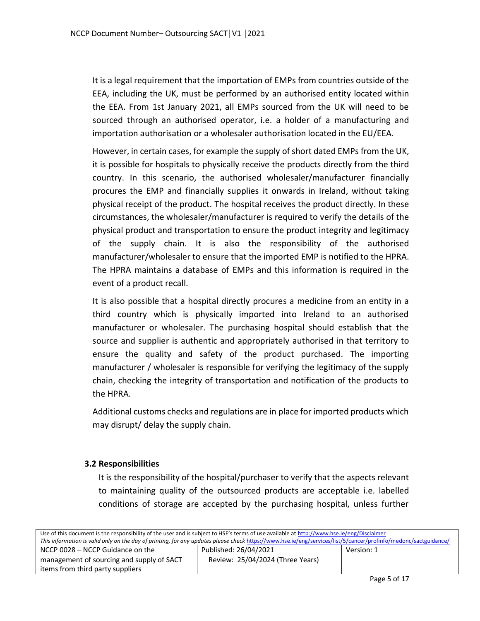It is a legal requirement that the importation of EMPs from countries outside of the EEA, including the UK, must be performed by an authorised entity located within the EEA. From 1st January 2021, all EMPs sourced from the UK will need to be sourced through an authorised operator, i.e. a holder of a manufacturing and importation authorisation or a wholesaler authorisation located in the EU/EEA.

However, in certain cases, for example the supply of short dated EMPs from the UK, it is possible for hospitals to physically receive the products directly from the third country. In this scenario, the authorised wholesaler/manufacturer financially procures the EMP and financially supplies it onwards in Ireland, without taking physical receipt of the product. The hospital receives the product directly. In these circumstances, the wholesaler/manufacturer is required to verify the details of the physical product and transportation to ensure the product integrity and legitimacy of the supply chain. It is also the responsibility of the authorised manufacturer/wholesaler to ensure that the imported EMP is notified to the HPRA. The HPRA maintains a database of EMPs and this information is required in the event of a product recall.

It is also possible that a hospital directly procures a medicine from an entity in a third country which is physically imported into Ireland to an authorised manufacturer or wholesaler. The purchasing hospital should establish that the source and supplier is authentic and appropriately authorised in that territory to ensure the quality and safety of the product purchased. The importing manufacturer / wholesaler is responsible for verifying the legitimacy of the supply chain, checking the integrity of transportation and notification of the products to the HPRA.

Additional customs checks and regulations are in place for imported products which may disrupt/ delay the supply chain.

#### <span id="page-4-0"></span>**3.2 Responsibilities**

It is the responsibility of the hospital/purchaser to verify that the aspects relevant to maintaining quality of the outsourced products are acceptable i.e. labelled conditions of storage are accepted by the purchasing hospital, unless further

| Use of this document is the responsibility of the user and is subject to HSE's terms of use available at http://www.hse.ie/eng/Disclaimer                       |                                  |            |  |  |
|-----------------------------------------------------------------------------------------------------------------------------------------------------------------|----------------------------------|------------|--|--|
| This information is valid only on the day of printing, for any updates please check https://www.hse.ie/eng/services/list/5/cancer/profinfo/medonc/sactguidance/ |                                  |            |  |  |
| NCCP 0028 – NCCP Guidance on the                                                                                                                                | Published: 26/04/2021            | Version: 1 |  |  |
| management of sourcing and supply of SACT                                                                                                                       | Review: 25/04/2024 (Three Years) |            |  |  |
| items from third party suppliers                                                                                                                                |                                  |            |  |  |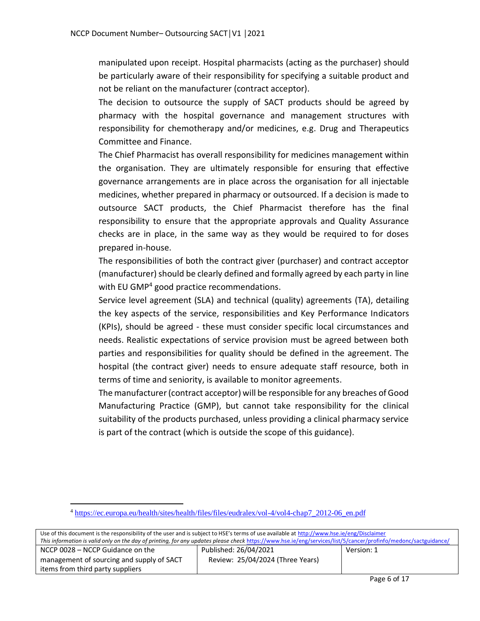manipulated upon receipt. Hospital pharmacists (acting as the purchaser) should be particularly aware of their responsibility for specifying a suitable product and not be reliant on the manufacturer (contract acceptor).

The decision to outsource the supply of SACT products should be agreed by pharmacy with the hospital governance and management structures with responsibility for chemotherapy and/or medicines, e.g. Drug and Therapeutics Committee and Finance.

The Chief Pharmacist has overall responsibility for medicines management within the organisation. They are ultimately responsible for ensuring that effective governance arrangements are in place across the organisation for all injectable medicines, whether prepared in pharmacy or outsourced. If a decision is made to outsource SACT products, the Chief Pharmacist therefore has the final responsibility to ensure that the appropriate approvals and Quality Assurance checks are in place, in the same way as they would be required to for doses prepared in-house.

The responsibilities of both the contract giver (purchaser) and contract acceptor (manufacturer) should be clearly defined and formally agreed by each party in line with EU GMP<sup>4</sup> good practice recommendations.

Service level agreement (SLA) and technical (quality) agreements (TA), detailing the key aspects of the service, responsibilities and Key Performance Indicators (KPIs), should be agreed - these must consider specific local circumstances and needs. Realistic expectations of service provision must be agreed between both parties and responsibilities for quality should be defined in the agreement. The hospital (the contract giver) needs to ensure adequate staff resource, both in terms of time and seniority, is available to monitor agreements.

The manufacturer (contract acceptor) will be responsible for any breaches of Good Manufacturing Practice (GMP), but cannot take responsibility for the clinical suitability of the products purchased, unless providing a clinical pharmacy service is part of the contract (which is outside the scope of this guidance).

 $\overline{a}$ 

| Use of this document is the responsibility of the user and is subject to HSE's terms of use available at http://www.hse.ie/eng/Disclaimer                       |                                  |            |  |  |
|-----------------------------------------------------------------------------------------------------------------------------------------------------------------|----------------------------------|------------|--|--|
| This information is valid only on the day of printing, for any updates please check https://www.hse.ie/eng/services/list/5/cancer/profinfo/medonc/sactguidance/ |                                  |            |  |  |
| NCCP 0028 – NCCP Guidance on the                                                                                                                                | Published: 26/04/2021            | Version: 1 |  |  |
| management of sourcing and supply of SACT                                                                                                                       | Review: 25/04/2024 (Three Years) |            |  |  |
| items from third party suppliers                                                                                                                                |                                  |            |  |  |

<sup>4</sup> [https://ec.europa.eu/health/sites/health/files/files/eudralex/vol-4/vol4-chap7\\_2012-06\\_en.pdf](https://ec.europa.eu/health/sites/health/files/files/eudralex/vol-4/vol4-chap7_2012-06_en.pdf)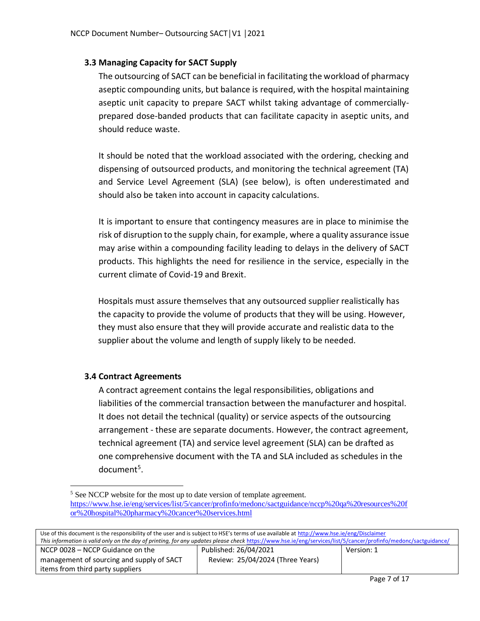#### <span id="page-6-0"></span>**3.3 Managing Capacity for SACT Supply**

The outsourcing of SACT can be beneficial in facilitating the workload of pharmacy aseptic compounding units, but balance is required, with the hospital maintaining aseptic unit capacity to prepare SACT whilst taking advantage of commerciallyprepared dose-banded products that can facilitate capacity in aseptic units, and should reduce waste.

It should be noted that the workload associated with the ordering, checking and dispensing of outsourced products, and monitoring the technical agreement (TA) and Service Level Agreement (SLA) (see below), is often underestimated and should also be taken into account in capacity calculations.

It is important to ensure that contingency measures are in place to minimise the risk of disruption to the supply chain, for example, where a quality assurance issue may arise within a compounding facility leading to delays in the delivery of SACT products. This highlights the need for resilience in the service, especially in the current climate of Covid-19 and Brexit.

Hospitals must assure themselves that any outsourced supplier realistically has the capacity to provide the volume of products that they will be using. However, they must also ensure that they will provide accurate and realistic data to the supplier about the volume and length of supply likely to be needed.

#### <span id="page-6-1"></span>**3.4 Contract Agreements**

A contract agreement contains the legal responsibilities, obligations and liabilities of the commercial transaction between the manufacturer and hospital. It does not detail the technical (quality) or service aspects of the outsourcing arrangement - these are separate documents. However, the contract agreement, technical agreement (TA) and service level agreement (SLA) can be drafted as one comprehensive document with the TA and SLA included as schedules in the document<sup>5</sup>.

 $\overline{a}$ <sup>5</sup> See NCCP website for the most up to date version of template agreement. [https://www.hse.ie/eng/services/list/5/cancer/profinfo/medonc/sactguidance/nccp%20qa%20resources%20f](https://www.hse.ie/eng/services/list/5/cancer/profinfo/medonc/sactguidance/nccp%20qa%20resources%20for%20hospital%20pharmacy%20cancer%20services.html) [or%20hospital%20pharmacy%20cancer%20services.html](https://www.hse.ie/eng/services/list/5/cancer/profinfo/medonc/sactguidance/nccp%20qa%20resources%20for%20hospital%20pharmacy%20cancer%20services.html)

| Use of this document is the responsibility of the user and is subject to HSE's terms of use available at http://www.hse.ie/eng/Disclaimer                       |                                  |            |  |  |
|-----------------------------------------------------------------------------------------------------------------------------------------------------------------|----------------------------------|------------|--|--|
| This information is valid only on the day of printing, for any updates please check https://www.hse.ie/eng/services/list/5/cancer/profinfo/medonc/sactguidance/ |                                  |            |  |  |
| NCCP 0028 - NCCP Guidance on the                                                                                                                                | Published: 26/04/2021            | Version: 1 |  |  |
| management of sourcing and supply of SACT                                                                                                                       | Review: 25/04/2024 (Three Years) |            |  |  |
| items from third party suppliers                                                                                                                                |                                  |            |  |  |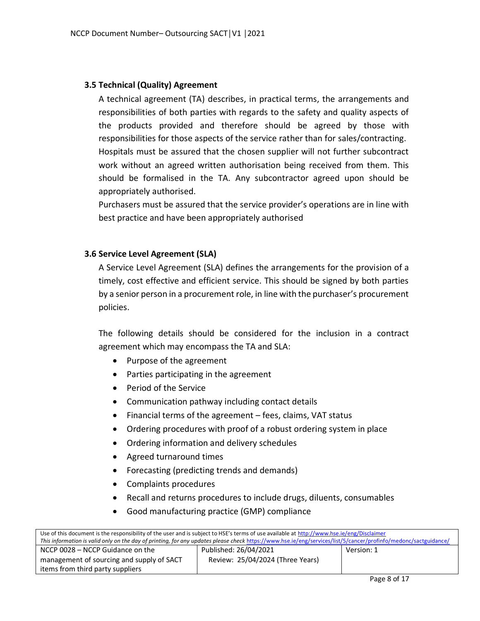#### <span id="page-7-0"></span>**3.5 Technical (Quality) Agreement**

A technical agreement (TA) describes, in practical terms, the arrangements and responsibilities of both parties with regards to the safety and quality aspects of the products provided and therefore should be agreed by those with responsibilities for those aspects of the service rather than for sales/contracting. Hospitals must be assured that the chosen supplier will not further subcontract work without an agreed written authorisation being received from them. This should be formalised in the TA. Any subcontractor agreed upon should be appropriately authorised.

Purchasers must be assured that the service provider's operations are in line with best practice and have been appropriately authorised

#### <span id="page-7-1"></span>**3.6 Service Level Agreement (SLA)**

A Service Level Agreement (SLA) defines the arrangements for the provision of a timely, cost effective and efficient service. This should be signed by both parties by a senior person in a procurement role, in line with the purchaser's procurement policies.

The following details should be considered for the inclusion in a contract agreement which may encompass the TA and SLA:

- Purpose of the agreement
- Parties participating in the agreement
- Period of the Service
- Communication pathway including contact details
- Financial terms of the agreement fees, claims, VAT status
- Ordering procedures with proof of a robust ordering system in place
- Ordering information and delivery schedules
- Agreed turnaround times
- Forecasting (predicting trends and demands)
- Complaints procedures
- Recall and returns procedures to include drugs, diluents, consumables
- Good manufacturing practice (GMP) compliance

| Use of this document is the responsibility of the user and is subject to HSE's terms of use available at http://www.hse.ie/eng/Disclaimer                       |                                  |            |  |  |
|-----------------------------------------------------------------------------------------------------------------------------------------------------------------|----------------------------------|------------|--|--|
| This information is valid only on the day of printing, for any updates please check https://www.hse.ie/eng/services/list/5/cancer/profinfo/medonc/sactguidance/ |                                  |            |  |  |
| NCCP 0028 – NCCP Guidance on the                                                                                                                                | Published: 26/04/2021            | Version: 1 |  |  |
| management of sourcing and supply of SACT                                                                                                                       | Review: 25/04/2024 (Three Years) |            |  |  |
| items from third party suppliers                                                                                                                                |                                  |            |  |  |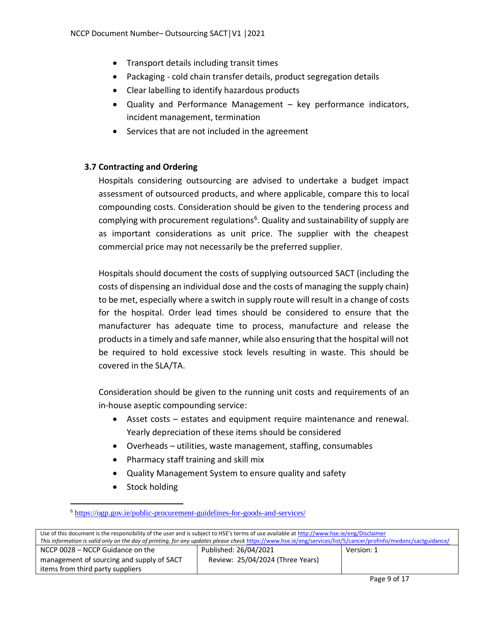- Transport details including transit times
- Packaging cold chain transfer details, product segregation details
- Clear labelling to identify hazardous products
- Quality and Performance Management key performance indicators, incident management, termination
- Services that are not included in the agreement

#### <span id="page-8-0"></span>**3.7 Contracting and Ordering**

Hospitals considering outsourcing are advised to undertake a budget impact assessment of outsourced products, and where applicable, compare this to local compounding costs. Consideration should be given to the tendering process and complying with procurement regulations<sup>6</sup>. Quality and sustainability of supply are as important considerations as unit price. The supplier with the cheapest commercial price may not necessarily be the preferred supplier.

Hospitals should document the costs of supplying outsourced SACT (including the costs of dispensing an individual dose and the costs of managing the supply chain) to be met, especially where a switch in supply route will result in a change of costs for the hospital. Order lead times should be considered to ensure that the manufacturer has adequate time to process, manufacture and release the products in a timely and safe manner, while also ensuring that the hospital will not be required to hold excessive stock levels resulting in waste. This should be covered in the SLA/TA.

Consideration should be given to the running unit costs and requirements of an in-house aseptic compounding service:

- Asset costs estates and equipment require maintenance and renewal. Yearly depreciation of these items should be considered
- Overheads utilities, waste management, staffing, consumables
- Pharmacy staff training and skill mix
- Quality Management System to ensure quality and safety
- Stock holding

 $\ddot{\phantom{a}}$ 

<sup>6</sup> <https://ogp.gov.ie/public-procurement-guidelines-for-goods-and-services/>

| Use of this document is the responsibility of the user and is subject to HSE's terms of use available at http://www.hse.ie/eng/Disclaimer                       |                                  |            |  |
|-----------------------------------------------------------------------------------------------------------------------------------------------------------------|----------------------------------|------------|--|
| This information is valid only on the day of printing, for any updates please check https://www.hse.ie/eng/services/list/5/cancer/profinfo/medonc/sactguidance/ |                                  |            |  |
| NCCP 0028 – NCCP Guidance on the                                                                                                                                | Published: 26/04/2021            | Version: 1 |  |
| management of sourcing and supply of SACT                                                                                                                       | Review: 25/04/2024 (Three Years) |            |  |
| items from third party suppliers                                                                                                                                |                                  |            |  |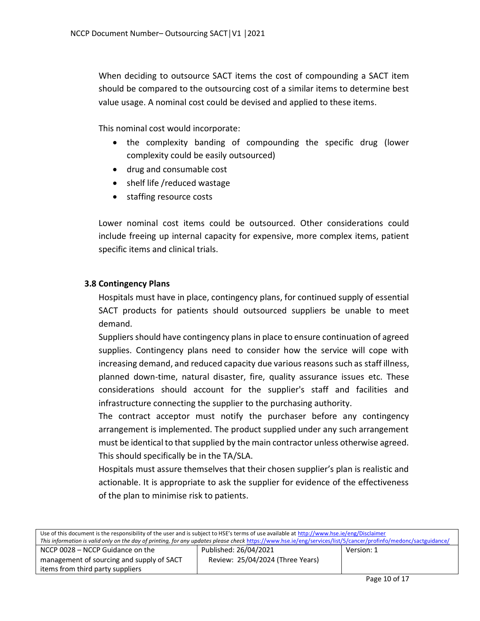When deciding to outsource SACT items the cost of compounding a SACT item should be compared to the outsourcing cost of a similar items to determine best value usage. A nominal cost could be devised and applied to these items.

This nominal cost would incorporate:

- the complexity banding of compounding the specific drug (lower complexity could be easily outsourced)
- drug and consumable cost
- shelf life /reduced wastage
- staffing resource costs

Lower nominal cost items could be outsourced. Other considerations could include freeing up internal capacity for expensive, more complex items, patient specific items and clinical trials.

#### <span id="page-9-0"></span>**3.8 Contingency Plans**

Hospitals must have in place, contingency plans, for continued supply of essential SACT products for patients should outsourced suppliers be unable to meet demand.

Suppliers should have contingency plans in place to ensure continuation of agreed supplies. Contingency plans need to consider how the service will cope with increasing demand, and reduced capacity due various reasons such as staff illness, planned down-time, natural disaster, fire, quality assurance issues etc. These considerations should account for the supplier's staff and facilities and infrastructure connecting the supplier to the purchasing authority.

The contract acceptor must notify the purchaser before any contingency arrangement is implemented. The product supplied under any such arrangement must be identical to that supplied by the main contractor unless otherwise agreed. This should specifically be in the TA/SLA.

Hospitals must assure themselves that their chosen supplier's plan is realistic and actionable. It is appropriate to ask the supplier for evidence of the effectiveness of the plan to minimise risk to patients.

| Use of this document is the responsibility of the user and is subject to HSE's terms of use available at http://www.hse.ie/eng/Disclaimer                       |                                  |            |  |  |
|-----------------------------------------------------------------------------------------------------------------------------------------------------------------|----------------------------------|------------|--|--|
| This information is valid only on the day of printing, for any updates please check https://www.hse.ie/eng/services/list/5/cancer/profinfo/medonc/sactguidance/ |                                  |            |  |  |
| NCCP 0028 – NCCP Guidance on the                                                                                                                                | Published: 26/04/2021            | Version: 1 |  |  |
| management of sourcing and supply of SACT                                                                                                                       | Review: 25/04/2024 (Three Years) |            |  |  |
| items from third party suppliers                                                                                                                                |                                  |            |  |  |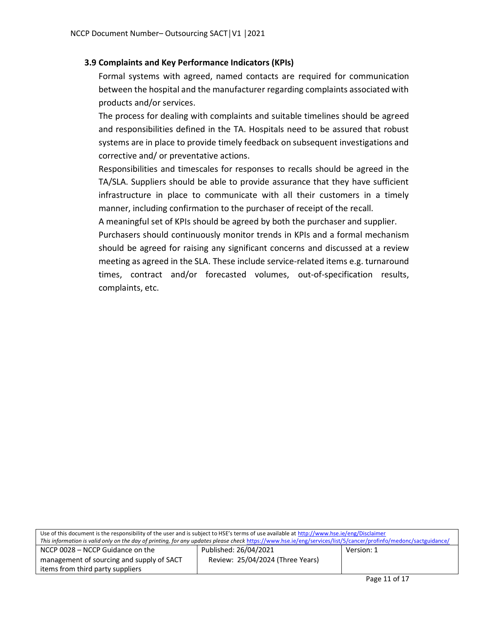#### <span id="page-10-0"></span>**3.9 Complaints and Key Performance Indicators (KPIs)**

Formal systems with agreed, named contacts are required for communication between the hospital and the manufacturer regarding complaints associated with products and/or services.

The process for dealing with complaints and suitable timelines should be agreed and responsibilities defined in the TA. Hospitals need to be assured that robust systems are in place to provide timely feedback on subsequent investigations and corrective and/ or preventative actions.

Responsibilities and timescales for responses to recalls should be agreed in the TA/SLA. Suppliers should be able to provide assurance that they have sufficient infrastructure in place to communicate with all their customers in a timely manner, including confirmation to the purchaser of receipt of the recall.

A meaningful set of KPIs should be agreed by both the purchaser and supplier.

Purchasers should continuously monitor trends in KPIs and a formal mechanism should be agreed for raising any significant concerns and discussed at a review meeting as agreed in the SLA. These include service-related items e.g. turnaround times, contract and/or forecasted volumes, out-of-specification results, complaints, etc.

| Use of this document is the responsibility of the user and is subject to HSE's terms of use available at http://www.hse.ie/eng/Disclaimer                       |                                  |            |  |  |
|-----------------------------------------------------------------------------------------------------------------------------------------------------------------|----------------------------------|------------|--|--|
| This information is valid only on the day of printing, for any updates please check https://www.hse.ie/eng/services/list/5/cancer/profinfo/medonc/sactguidance/ |                                  |            |  |  |
| NCCP 0028 – NCCP Guidance on the                                                                                                                                | Published: 26/04/2021            | Version: 1 |  |  |
| management of sourcing and supply of SACT                                                                                                                       | Review: 25/04/2024 (Three Years) |            |  |  |
| items from third party suppliers                                                                                                                                |                                  |            |  |  |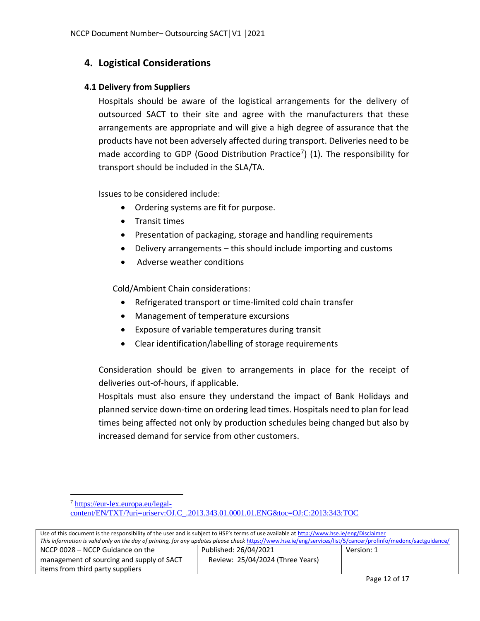## <span id="page-11-0"></span>**4. Logistical Considerations**

#### <span id="page-11-1"></span>**4.1 Delivery from Suppliers**

Hospitals should be aware of the logistical arrangements for the delivery of outsourced SACT to their site and agree with the manufacturers that these arrangements are appropriate and will give a high degree of assurance that the products have not been adversely affected during transport. Deliveries need to be made according to GDP (Good Distribution Practice<sup>7</sup>) (1). The responsibility for transport should be included in the SLA/TA.

Issues to be considered include:

- Ordering systems are fit for purpose.
- Transit times

 $\ddot{\phantom{a}}$ 

- Presentation of packaging, storage and handling requirements
- Delivery arrangements this should include importing and customs
- Adverse weather conditions

Cold/Ambient Chain considerations:

- Refrigerated transport or time-limited cold chain transfer
- Management of temperature excursions
- Exposure of variable temperatures during transit
- Clear identification/labelling of storage requirements

Consideration should be given to arrangements in place for the receipt of deliveries out-of-hours, if applicable.

Hospitals must also ensure they understand the impact of Bank Holidays and planned service down-time on ordering lead times. Hospitals need to plan for lead times being affected not only by production schedules being changed but also by increased demand for service from other customers.

<sup>7</sup> [https://eur-lex.europa.eu/legal](https://eur-lex.europa.eu/legal-content/EN/TXT/?uri=uriserv:OJ.C_.2013.343.01.0001.01.ENG&toc=OJ:C:2013:343:TOC)[content/EN/TXT/?uri=uriserv:OJ.C\\_.2013.343.01.0001.01.ENG&toc=OJ:C:2013:343:TOC](https://eur-lex.europa.eu/legal-content/EN/TXT/?uri=uriserv:OJ.C_.2013.343.01.0001.01.ENG&toc=OJ:C:2013:343:TOC)

| Use of this document is the responsibility of the user and is subject to HSE's terms of use available at http://www.hse.ie/eng/Disclaimer                       |                                  |            |
|-----------------------------------------------------------------------------------------------------------------------------------------------------------------|----------------------------------|------------|
| This information is valid only on the day of printing, for any updates please check https://www.hse.ie/eng/services/list/5/cancer/profinfo/medonc/sactguidance/ |                                  |            |
| NCCP 0028 – NCCP Guidance on the                                                                                                                                | Published: 26/04/2021            | Version: 1 |
| management of sourcing and supply of SACT                                                                                                                       | Review: 25/04/2024 (Three Years) |            |
| items from third party suppliers                                                                                                                                |                                  |            |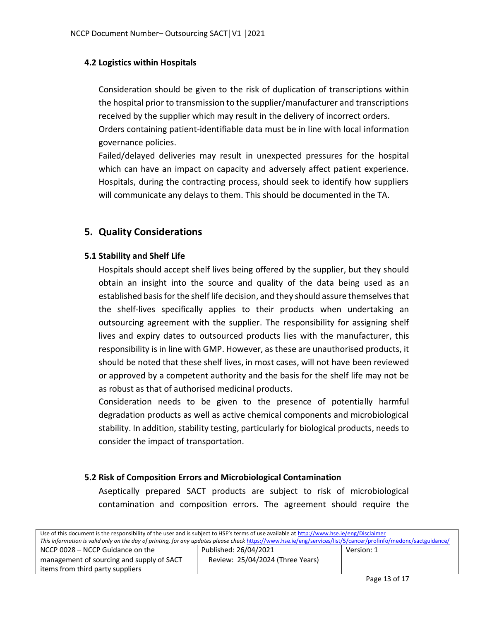#### <span id="page-12-0"></span>**4.2 Logistics within Hospitals**

Consideration should be given to the risk of duplication of transcriptions within the hospital prior to transmission to the supplier/manufacturer and transcriptions received by the supplier which may result in the delivery of incorrect orders. Orders containing patient-identifiable data must be in line with local information governance policies.

Failed/delayed deliveries may result in unexpected pressures for the hospital which can have an impact on capacity and adversely affect patient experience. Hospitals, during the contracting process, should seek to identify how suppliers will communicate any delays to them. This should be documented in the TA.

### <span id="page-12-1"></span>**5. Quality Considerations**

#### <span id="page-12-2"></span>**5.1 Stability and Shelf Life**

Hospitals should accept shelf lives being offered by the supplier, but they should obtain an insight into the source and quality of the data being used as an established basis for the shelf life decision, and they should assure themselves that the shelf-lives specifically applies to their products when undertaking an outsourcing agreement with the supplier. The responsibility for assigning shelf lives and expiry dates to outsourced products lies with the manufacturer, this responsibility is in line with GMP. However, as these are unauthorised products, it should be noted that these shelf lives, in most cases, will not have been reviewed or approved by a competent authority and the basis for the shelf life may not be as robust as that of authorised medicinal products.

Consideration needs to be given to the presence of potentially harmful degradation products as well as active chemical components and microbiological stability. In addition, stability testing, particularly for biological products, needs to consider the impact of transportation.

#### <span id="page-12-3"></span>**5.2 Risk of Composition Errors and Microbiological Contamination**

Aseptically prepared SACT products are subject to risk of microbiological contamination and composition errors. The agreement should require the

| Use of this document is the responsibility of the user and is subject to HSE's terms of use available at http://www.hse.ie/eng/Disclaimer                       |                                  |            |
|-----------------------------------------------------------------------------------------------------------------------------------------------------------------|----------------------------------|------------|
| This information is valid only on the day of printing, for any updates please check https://www.hse.ie/eng/services/list/5/cancer/profinfo/medonc/sactguidance/ |                                  |            |
| NCCP 0028 – NCCP Guidance on the                                                                                                                                | Published: 26/04/2021            | Version: 1 |
| management of sourcing and supply of SACT                                                                                                                       | Review: 25/04/2024 (Three Years) |            |
| items from third party suppliers                                                                                                                                |                                  |            |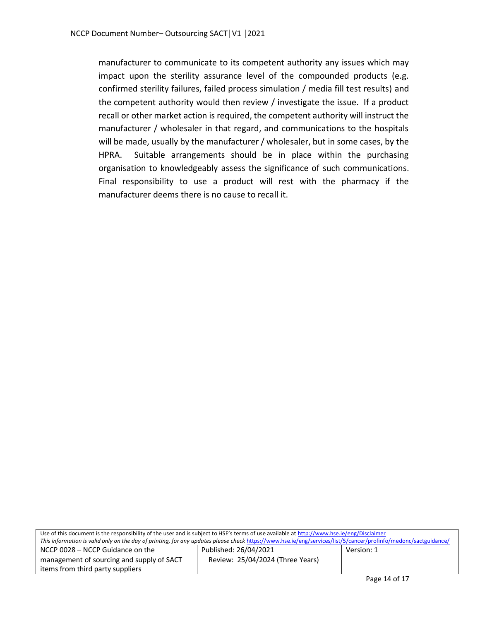manufacturer to communicate to its competent authority any issues which may impact upon the sterility assurance level of the compounded products (e.g. confirmed sterility failures, failed process simulation / media fill test results) and the competent authority would then review / investigate the issue. If a product recall or other market action is required, the competent authority will instruct the manufacturer / wholesaler in that regard, and communications to the hospitals will be made, usually by the manufacturer / wholesaler, but in some cases, by the HPRA. Suitable arrangements should be in place within the purchasing organisation to knowledgeably assess the significance of such communications. Final responsibility to use a product will rest with the pharmacy if the manufacturer deems there is no cause to recall it.

| Use of this document is the responsibility of the user and is subject to HSE's terms of use available at http://www.hse.ie/eng/Disclaimer                       |                                  |            |  |
|-----------------------------------------------------------------------------------------------------------------------------------------------------------------|----------------------------------|------------|--|
| This information is valid only on the day of printing, for any updates please check https://www.hse.ie/eng/services/list/5/cancer/profinfo/medonc/sactguidance/ |                                  |            |  |
| NCCP 0028 – NCCP Guidance on the                                                                                                                                | Published: 26/04/2021            | Version: 1 |  |
| management of sourcing and supply of SACT                                                                                                                       | Review: 25/04/2024 (Three Years) |            |  |
| items from third party suppliers                                                                                                                                |                                  |            |  |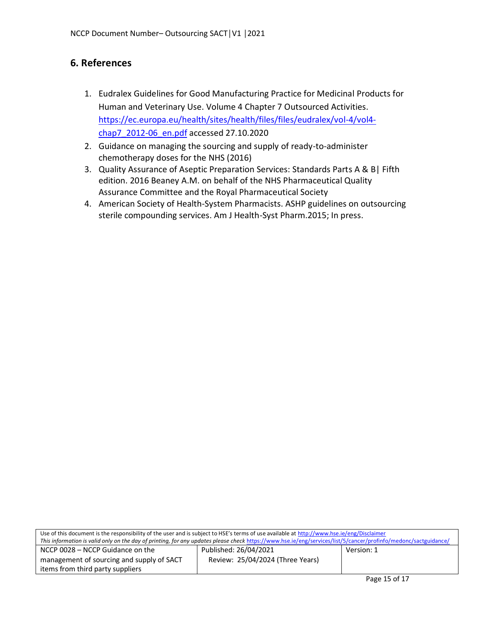## <span id="page-14-0"></span>**6. References**

- 1. Eudralex Guidelines for Good Manufacturing Practice for Medicinal Products for Human and Veterinary Use. Volume 4 Chapter 7 Outsourced Activities. [https://ec.europa.eu/health/sites/health/files/files/eudralex/vol-4/vol4](https://ec.europa.eu/health/sites/health/files/files/eudralex/vol-4/vol4-chap7_2012-06_en.pdf) [chap7\\_2012-06\\_en.pdf](https://ec.europa.eu/health/sites/health/files/files/eudralex/vol-4/vol4-chap7_2012-06_en.pdf) accessed 27.10.2020
- 2. Guidance on managing the sourcing and supply of ready-to-administer chemotherapy doses for the NHS (2016)
- 3. Quality Assurance of Aseptic Preparation Services: Standards Parts A & B| Fifth edition. 2016 Beaney A.M. on behalf of the NHS Pharmaceutical Quality Assurance Committee and the Royal Pharmaceutical Society
- 4. American Society of Health-System Pharmacists. ASHP guidelines on outsourcing sterile compounding services. Am J Health-Syst Pharm.2015; In press.

| Use of this document is the responsibility of the user and is subject to HSE's terms of use available at http://www.hse.ie/eng/Disclaimer                       |                                  |            |
|-----------------------------------------------------------------------------------------------------------------------------------------------------------------|----------------------------------|------------|
| This information is valid only on the day of printing, for any updates please check https://www.hse.ie/eng/services/list/5/cancer/profinfo/medonc/sactguidance/ |                                  |            |
| NCCP 0028 – NCCP Guidance on the                                                                                                                                | Published: 26/04/2021            | Version: 1 |
| management of sourcing and supply of SACT                                                                                                                       | Review: 25/04/2024 (Three Years) |            |
| items from third party suppliers                                                                                                                                |                                  |            |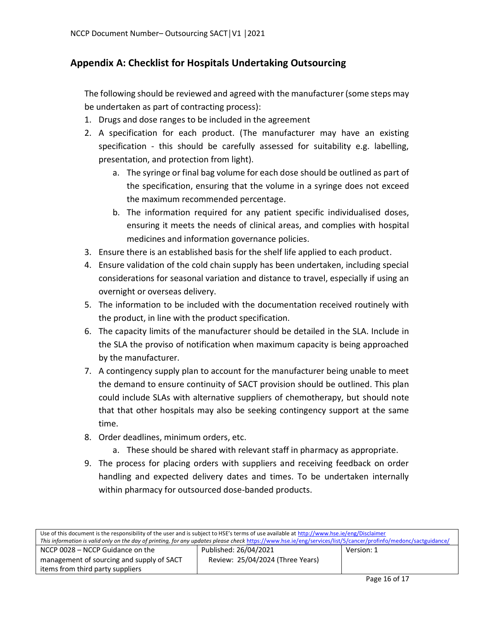## <span id="page-15-0"></span>**Appendix A: Checklist for Hospitals Undertaking Outsourcing**

The following should be reviewed and agreed with the manufacturer (some steps may be undertaken as part of contracting process):

- 1. Drugs and dose ranges to be included in the agreement
- 2. A specification for each product. (The manufacturer may have an existing specification - this should be carefully assessed for suitability e.g. labelling, presentation, and protection from light).
	- a. The syringe or final bag volume for each dose should be outlined as part of the specification, ensuring that the volume in a syringe does not exceed the maximum recommended percentage.
	- b. The information required for any patient specific individualised doses, ensuring it meets the needs of clinical areas, and complies with hospital medicines and information governance policies.
- 3. Ensure there is an established basis for the shelf life applied to each product.
- 4. Ensure validation of the cold chain supply has been undertaken, including special considerations for seasonal variation and distance to travel, especially if using an overnight or overseas delivery.
- 5. The information to be included with the documentation received routinely with the product, in line with the product specification.
- 6. The capacity limits of the manufacturer should be detailed in the SLA. Include in the SLA the proviso of notification when maximum capacity is being approached by the manufacturer.
- 7. A contingency supply plan to account for the manufacturer being unable to meet the demand to ensure continuity of SACT provision should be outlined. This plan could include SLAs with alternative suppliers of chemotherapy, but should note that that other hospitals may also be seeking contingency support at the same time.
- 8. Order deadlines, minimum orders, etc.
	- a. These should be shared with relevant staff in pharmacy as appropriate.
- 9. The process for placing orders with suppliers and receiving feedback on order handling and expected delivery dates and times. To be undertaken internally within pharmacy for outsourced dose-banded products.

| Use of this document is the responsibility of the user and is subject to HSE's terms of use available at http://www.hse.ie/eng/Disclaimer                       |                                  |            |
|-----------------------------------------------------------------------------------------------------------------------------------------------------------------|----------------------------------|------------|
| This information is valid only on the day of printing, for any updates please check https://www.hse.ie/eng/services/list/5/cancer/profinfo/medonc/sactguidance/ |                                  |            |
| NCCP 0028 - NCCP Guidance on the                                                                                                                                | Published: 26/04/2021            | Version: 1 |
| management of sourcing and supply of SACT                                                                                                                       | Review: 25/04/2024 (Three Years) |            |
| items from third party suppliers                                                                                                                                |                                  |            |